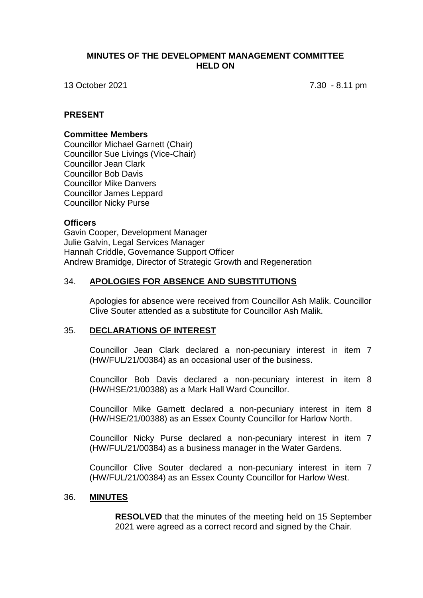## **MINUTES OF THE DEVELOPMENT MANAGEMENT COMMITTEE HELD ON**

13 October 2021 7.30 - 8.11 pm

## **PRESENT**

#### **Committee Members**

Councillor Michael Garnett (Chair) Councillor Sue Livings (Vice-Chair) Councillor Jean Clark Councillor Bob Davis Councillor Mike Danvers Councillor James Leppard Councillor Nicky Purse

### **Officers**

Gavin Cooper, Development Manager Julie Galvin, Legal Services Manager Hannah Criddle, Governance Support Officer Andrew Bramidge, Director of Strategic Growth and Regeneration

### 34. **APOLOGIES FOR ABSENCE AND SUBSTITUTIONS**

Apologies for absence were received from Councillor Ash Malik. Councillor Clive Souter attended as a substitute for Councillor Ash Malik.

### 35. **DECLARATIONS OF INTEREST**

Councillor Jean Clark declared a non-pecuniary interest in item 7 (HW/FUL/21/00384) as an occasional user of the business.

Councillor Bob Davis declared a non-pecuniary interest in item 8 (HW/HSE/21/00388) as a Mark Hall Ward Councillor.

Councillor Mike Garnett declared a non-pecuniary interest in item 8 (HW/HSE/21/00388) as an Essex County Councillor for Harlow North.

Councillor Nicky Purse declared a non-pecuniary interest in item 7 (HW/FUL/21/00384) as a business manager in the Water Gardens.

Councillor Clive Souter declared a non-pecuniary interest in item 7 (HW/FUL/21/00384) as an Essex County Councillor for Harlow West.

#### 36. **MINUTES**

**RESOLVED** that the minutes of the meeting held on 15 September 2021 were agreed as a correct record and signed by the Chair.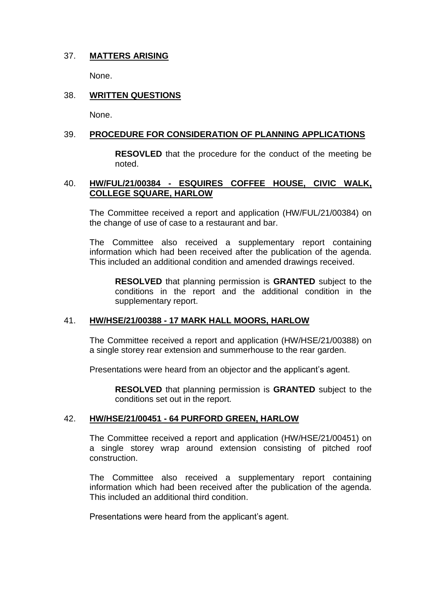## 37. **MATTERS ARISING**

None.

## 38. **WRITTEN QUESTIONS**

None.

## 39. **PROCEDURE FOR CONSIDERATION OF PLANNING APPLICATIONS**

**RESOVLED** that the procedure for the conduct of the meeting be noted.

## 40. **HW/FUL/21/00384 - ESQUIRES COFFEE HOUSE, CIVIC WALK, COLLEGE SQUARE, HARLOW**

The Committee received a report and application (HW/FUL/21/00384) on the change of use of case to a restaurant and bar.

The Committee also received a supplementary report containing information which had been received after the publication of the agenda. This included an additional condition and amended drawings received.

**RESOLVED** that planning permission is **GRANTED** subject to the conditions in the report and the additional condition in the supplementary report.

## 41. **HW/HSE/21/00388 - 17 MARK HALL MOORS, HARLOW**

The Committee received a report and application (HW/HSE/21/00388) on a single storey rear extension and summerhouse to the rear garden.

Presentations were heard from an objector and the applicant's agent.

**RESOLVED** that planning permission is **GRANTED** subject to the conditions set out in the report.

## 42. **HW/HSE/21/00451 - 64 PURFORD GREEN, HARLOW**

The Committee received a report and application (HW/HSE/21/00451) on a single storey wrap around extension consisting of pitched roof construction.

The Committee also received a supplementary report containing information which had been received after the publication of the agenda. This included an additional third condition.

Presentations were heard from the applicant's agent.